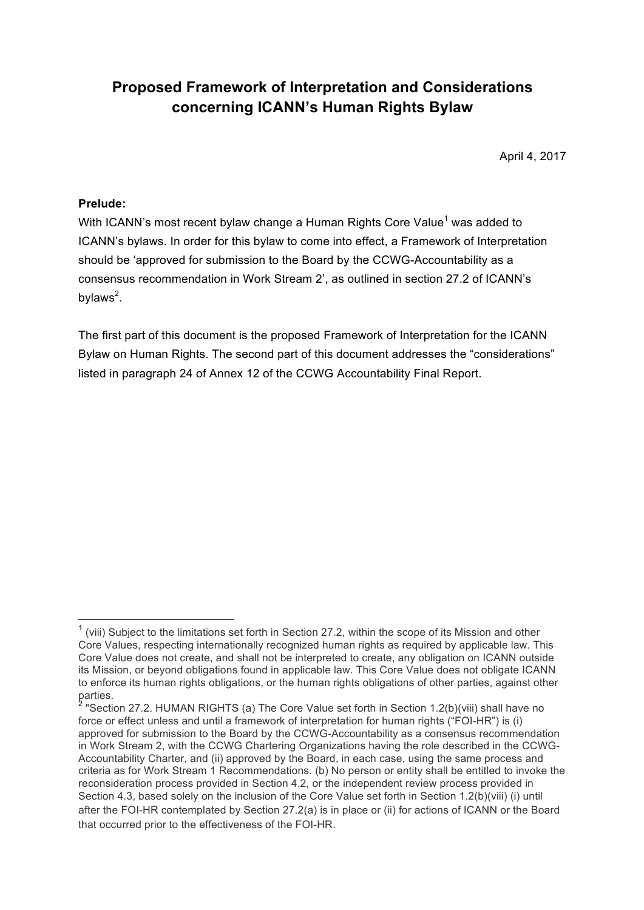## **Proposed Framework of Interpretation and Considerations concerning ICANN's Human Rights Bylaw**

April 4, 2017

## **Prelude:**

With ICANN's most recent bylaw change a Human Rights Core Value<sup>1</sup> was added to ICANN's bylaws. In order for this bylaw to come into effect, a Framework of Interpretation should be 'approved for submission to the Board by the CCWG-Accountability as a consensus recommendation in Work Stream 2', as outlined in section 27.2 of ICANN's bylaws<sup>2</sup>.

The first part of this document is the proposed Framework of Interpretation for the ICANN Bylaw on Human Rights. The second part of this document addresses the "considerations" listed in paragraph 24 of Annex 12 of the CCWG Accountability Final Report.

 $1$  (viii) Subject to the limitations set forth in Section 27.2, within the scope of its Mission and other Core Values, respecting internationally recognized human rights as required by applicable law. This Core Value does not create, and shall not be interpreted to create, any obligation on ICANN outside its Mission, or beyond obligations found in applicable law. This Core Value does not obligate ICANN to enforce its human rights obligations, or the human rights obligations of other parties, against other parties.

<sup>&</sup>lt;sup>2</sup> "Section 27.2. HUMAN RIGHTS (a) The Core Value set forth in Section 1.2(b)(viii) shall have no force or effect unless and until a framework of interpretation for human rights ("FOI-HR") is (i) approved for submission to the Board by the CCWG-Accountability as a consensus recommendation in Work Stream 2, with the CCWG Chartering Organizations having the role described in the CCWG-Accountability Charter, and (ii) approved by the Board, in each case, using the same process and criteria as for Work Stream 1 Recommendations. (b) No person or entity shall be entitled to invoke the reconsideration process provided in Section 4.2, or the independent review process provided in Section 4.3, based solely on the inclusion of the Core Value set forth in Section 1.2(b)(viii) (i) until after the FOI-HR contemplated by Section 27.2(a) is in place or (ii) for actions of ICANN or the Board that occurred prior to the effectiveness of the FOI-HR.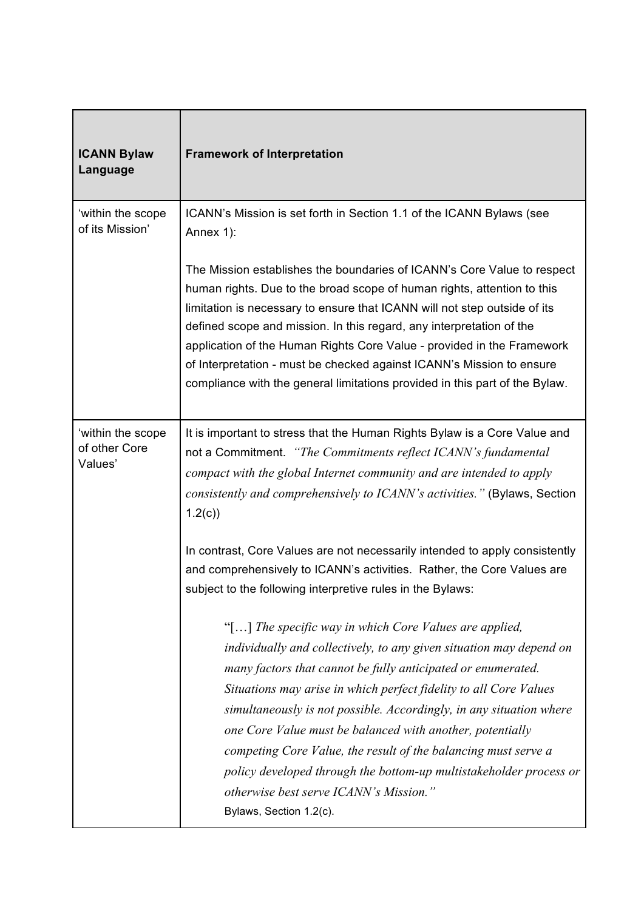| <b>ICANN Bylaw</b><br>Language                | <b>Framework of Interpretation</b>                                                                                                                                                                                                                                                                                                                                                                                                                                                                                                                                                                                  |
|-----------------------------------------------|---------------------------------------------------------------------------------------------------------------------------------------------------------------------------------------------------------------------------------------------------------------------------------------------------------------------------------------------------------------------------------------------------------------------------------------------------------------------------------------------------------------------------------------------------------------------------------------------------------------------|
| 'within the scope<br>of its Mission'          | ICANN's Mission is set forth in Section 1.1 of the ICANN Bylaws (see<br>Annex 1):                                                                                                                                                                                                                                                                                                                                                                                                                                                                                                                                   |
|                                               | The Mission establishes the boundaries of ICANN's Core Value to respect<br>human rights. Due to the broad scope of human rights, attention to this<br>limitation is necessary to ensure that ICANN will not step outside of its<br>defined scope and mission. In this regard, any interpretation of the<br>application of the Human Rights Core Value - provided in the Framework<br>of Interpretation - must be checked against ICANN's Mission to ensure<br>compliance with the general limitations provided in this part of the Bylaw.                                                                           |
| 'within the scope<br>of other Core<br>Values' | It is important to stress that the Human Rights Bylaw is a Core Value and<br>not a Commitment. "The Commitments reflect ICANN's fundamental<br>compact with the global Internet community and are intended to apply<br>consistently and comprehensively to ICANN's activities." (Bylaws, Section<br>1.2(c)                                                                                                                                                                                                                                                                                                          |
|                                               | In contrast, Core Values are not necessarily intended to apply consistently<br>and comprehensively to ICANN's activities. Rather, the Core Values are<br>subject to the following interpretive rules in the Bylaws:                                                                                                                                                                                                                                                                                                                                                                                                 |
|                                               | "[] The specific way in which Core Values are applied,<br>individually and collectively, to any given situation may depend on<br>many factors that cannot be fully anticipated or enumerated.<br>Situations may arise in which perfect fidelity to all Core Values<br>simultaneously is not possible. Accordingly, in any situation where<br>one Core Value must be balanced with another, potentially<br>competing Core Value, the result of the balancing must serve a<br>policy developed through the bottom-up multistakeholder process or<br>otherwise best serve ICANN's Mission."<br>Bylaws, Section 1.2(c). |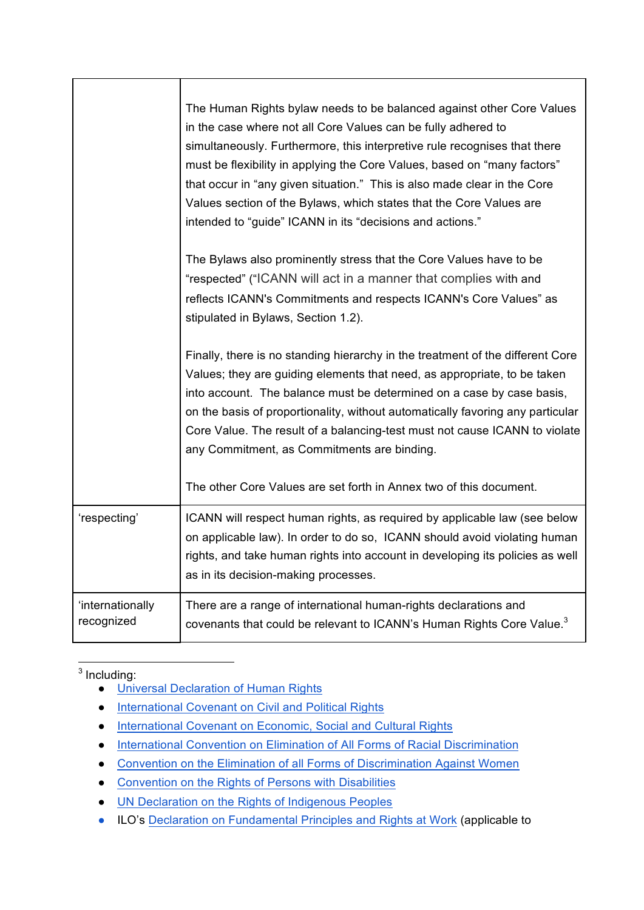|                                | The Human Rights bylaw needs to be balanced against other Core Values<br>in the case where not all Core Values can be fully adhered to<br>simultaneously. Furthermore, this interpretive rule recognises that there<br>must be flexibility in applying the Core Values, based on "many factors"<br>that occur in "any given situation." This is also made clear in the Core<br>Values section of the Bylaws, which states that the Core Values are<br>intended to "guide" ICANN in its "decisions and actions." |
|--------------------------------|-----------------------------------------------------------------------------------------------------------------------------------------------------------------------------------------------------------------------------------------------------------------------------------------------------------------------------------------------------------------------------------------------------------------------------------------------------------------------------------------------------------------|
|                                | The Bylaws also prominently stress that the Core Values have to be<br>"respected" ("ICANN will act in a manner that complies with and<br>reflects ICANN's Commitments and respects ICANN's Core Values" as<br>stipulated in Bylaws, Section 1.2).                                                                                                                                                                                                                                                               |
|                                | Finally, there is no standing hierarchy in the treatment of the different Core<br>Values; they are guiding elements that need, as appropriate, to be taken<br>into account. The balance must be determined on a case by case basis,<br>on the basis of proportionality, without automatically favoring any particular<br>Core Value. The result of a balancing-test must not cause ICANN to violate<br>any Commitment, as Commitments are binding.                                                              |
|                                | The other Core Values are set forth in Annex two of this document.                                                                                                                                                                                                                                                                                                                                                                                                                                              |
| 'respecting'                   | ICANN will respect human rights, as required by applicable law (see below<br>on applicable law). In order to do so, ICANN should avoid violating human<br>rights, and take human rights into account in developing its policies as well<br>as in its decision-making processes.                                                                                                                                                                                                                                 |
| 'internationally<br>recognized | There are a range of international human-rights declarations and<br>covenants that could be relevant to ICANN's Human Rights Core Value. <sup>3</sup>                                                                                                                                                                                                                                                                                                                                                           |

<sup>3</sup> Including:

- Universal Declaration of Human Rights
- International Covenant on Civil and Political Rights
- International Covenant on Economic, Social and Cultural Rights
- International Convention on Elimination of All Forms of Racial Discrimination
- Convention on the Elimination of all Forms of Discrimination Against Women
- Convention on the Rights of Persons with Disabilities
- UN Declaration on the Rights of Indigenous Peoples
- ILO's Declaration on Fundamental Principles and Rights at Work (applicable to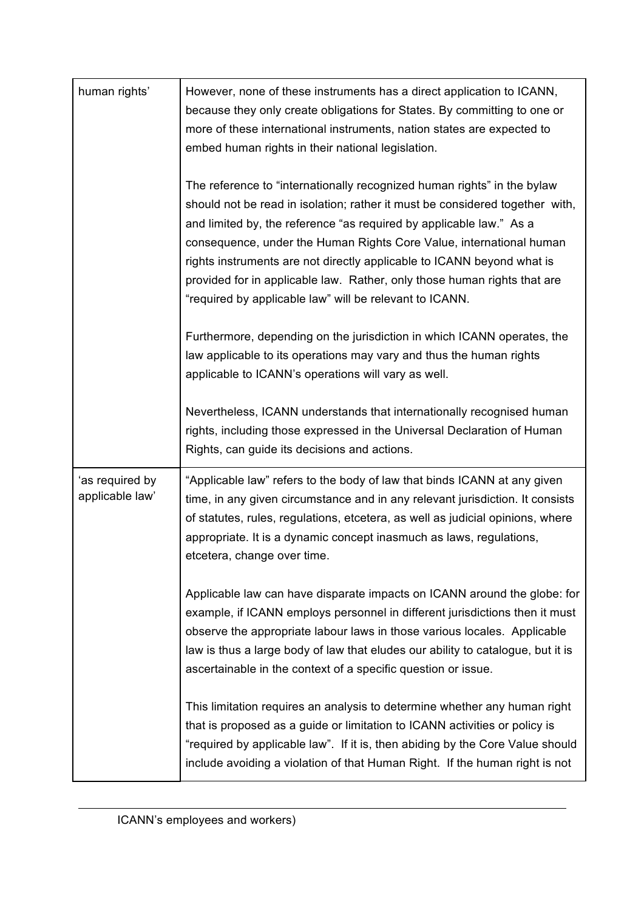| human rights'                      | However, none of these instruments has a direct application to ICANN,<br>because they only create obligations for States. By committing to one or<br>more of these international instruments, nation states are expected to<br>embed human rights in their national legislation.                                                                                                                                                                                                                                       |
|------------------------------------|------------------------------------------------------------------------------------------------------------------------------------------------------------------------------------------------------------------------------------------------------------------------------------------------------------------------------------------------------------------------------------------------------------------------------------------------------------------------------------------------------------------------|
|                                    | The reference to "internationally recognized human rights" in the bylaw<br>should not be read in isolation; rather it must be considered together with,<br>and limited by, the reference "as required by applicable law." As a<br>consequence, under the Human Rights Core Value, international human<br>rights instruments are not directly applicable to ICANN beyond what is<br>provided for in applicable law. Rather, only those human rights that are<br>"required by applicable law" will be relevant to ICANN. |
|                                    | Furthermore, depending on the jurisdiction in which ICANN operates, the<br>law applicable to its operations may vary and thus the human rights<br>applicable to ICANN's operations will vary as well.                                                                                                                                                                                                                                                                                                                  |
|                                    | Nevertheless, ICANN understands that internationally recognised human<br>rights, including those expressed in the Universal Declaration of Human<br>Rights, can guide its decisions and actions.                                                                                                                                                                                                                                                                                                                       |
| 'as required by<br>applicable law' | "Applicable law" refers to the body of law that binds ICANN at any given<br>time, in any given circumstance and in any relevant jurisdiction. It consists<br>of statutes, rules, regulations, etcetera, as well as judicial opinions, where<br>appropriate. It is a dynamic concept inasmuch as laws, regulations,<br>etcetera, change over time.                                                                                                                                                                      |
|                                    | Applicable law can have disparate impacts on ICANN around the globe: for<br>example, if ICANN employs personnel in different jurisdictions then it must<br>observe the appropriate labour laws in those various locales. Applicable<br>law is thus a large body of law that eludes our ability to catalogue, but it is<br>ascertainable in the context of a specific question or issue.                                                                                                                                |
|                                    | This limitation requires an analysis to determine whether any human right<br>that is proposed as a guide or limitation to ICANN activities or policy is<br>"required by applicable law". If it is, then abiding by the Core Value should<br>include avoiding a violation of that Human Right. If the human right is not                                                                                                                                                                                                |

 $\overline{a}$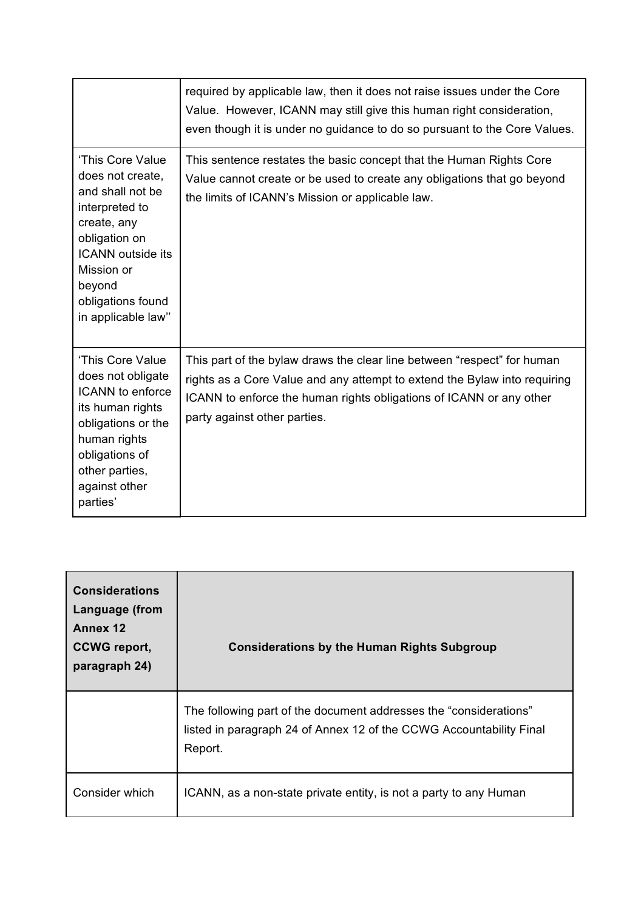|                                                                                                                                                                                                           | required by applicable law, then it does not raise issues under the Core<br>Value. However, ICANN may still give this human right consideration,<br>even though it is under no guidance to do so pursuant to the Core Values.                               |
|-----------------------------------------------------------------------------------------------------------------------------------------------------------------------------------------------------------|-------------------------------------------------------------------------------------------------------------------------------------------------------------------------------------------------------------------------------------------------------------|
| 'This Core Value<br>does not create,<br>and shall not be<br>interpreted to<br>create, any<br>obligation on<br><b>ICANN</b> outside its<br>Mission or<br>beyond<br>obligations found<br>in applicable law" | This sentence restates the basic concept that the Human Rights Core<br>Value cannot create or be used to create any obligations that go beyond<br>the limits of ICANN's Mission or applicable law.                                                          |
| 'This Core Value<br>does not obligate<br><b>ICANN</b> to enforce<br>its human rights<br>obligations or the<br>human rights<br>obligations of<br>other parties,<br>against other<br>parties'               | This part of the bylaw draws the clear line between "respect" for human<br>rights as a Core Value and any attempt to extend the Bylaw into requiring<br>ICANN to enforce the human rights obligations of ICANN or any other<br>party against other parties. |

| <b>Considerations</b><br>Language (from<br>Annex 12<br><b>CCWG</b> report,<br>paragraph 24) | <b>Considerations by the Human Rights Subgroup</b>                                                                                                  |
|---------------------------------------------------------------------------------------------|-----------------------------------------------------------------------------------------------------------------------------------------------------|
|                                                                                             | The following part of the document addresses the "considerations"<br>listed in paragraph 24 of Annex 12 of the CCWG Accountability Final<br>Report. |
| Consider which                                                                              | ICANN, as a non-state private entity, is not a party to any Human                                                                                   |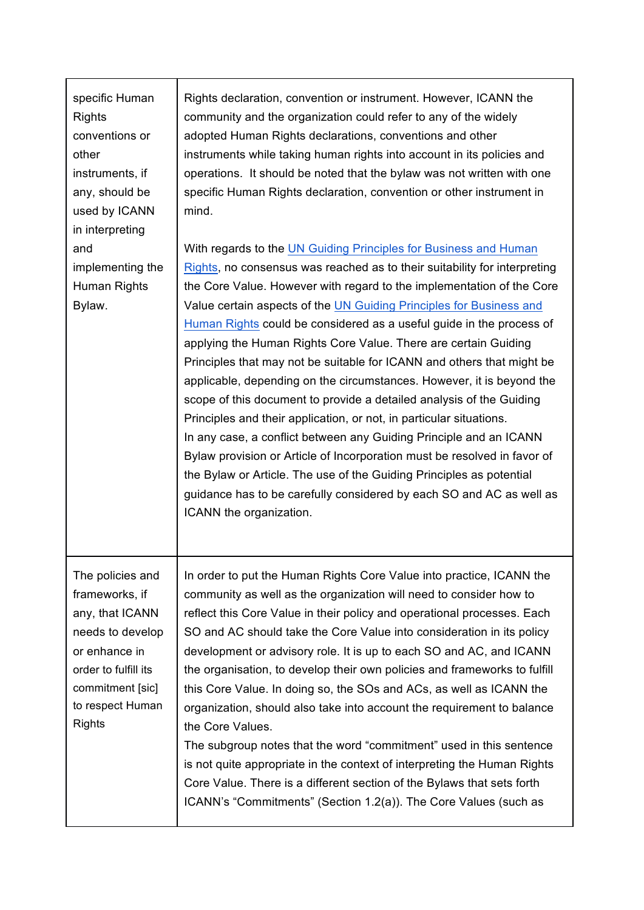| specific Human<br><b>Rights</b><br>conventions or<br>other<br>instruments, if<br>any, should be<br>used by ICANN<br>in interpreting                                         | Rights declaration, convention or instrument. However, ICANN the<br>community and the organization could refer to any of the widely<br>adopted Human Rights declarations, conventions and other<br>instruments while taking human rights into account in its policies and<br>operations. It should be noted that the bylaw was not written with one<br>specific Human Rights declaration, convention or other instrument in<br>mind.                                                                                                                                                                                                                                                                                                                                                                                                                                                                                                                                                                                                                                    |
|-----------------------------------------------------------------------------------------------------------------------------------------------------------------------------|-------------------------------------------------------------------------------------------------------------------------------------------------------------------------------------------------------------------------------------------------------------------------------------------------------------------------------------------------------------------------------------------------------------------------------------------------------------------------------------------------------------------------------------------------------------------------------------------------------------------------------------------------------------------------------------------------------------------------------------------------------------------------------------------------------------------------------------------------------------------------------------------------------------------------------------------------------------------------------------------------------------------------------------------------------------------------|
| and<br>implementing the<br>Human Rights<br>Bylaw.                                                                                                                           | With regards to the UN Guiding Principles for Business and Human<br>Rights, no consensus was reached as to their suitability for interpreting<br>the Core Value. However with regard to the implementation of the Core<br>Value certain aspects of the UN Guiding Principles for Business and<br>Human Rights could be considered as a useful guide in the process of<br>applying the Human Rights Core Value. There are certain Guiding<br>Principles that may not be suitable for ICANN and others that might be<br>applicable, depending on the circumstances. However, it is beyond the<br>scope of this document to provide a detailed analysis of the Guiding<br>Principles and their application, or not, in particular situations.<br>In any case, a conflict between any Guiding Principle and an ICANN<br>Bylaw provision or Article of Incorporation must be resolved in favor of<br>the Bylaw or Article. The use of the Guiding Principles as potential<br>guidance has to be carefully considered by each SO and AC as well as<br>ICANN the organization. |
| The policies and<br>frameworks, if<br>any, that ICANN<br>needs to develop<br>or enhance in<br>order to fulfill its<br>commitment [sic]<br>to respect Human<br><b>Rights</b> | In order to put the Human Rights Core Value into practice, ICANN the<br>community as well as the organization will need to consider how to<br>reflect this Core Value in their policy and operational processes. Each<br>SO and AC should take the Core Value into consideration in its policy<br>development or advisory role. It is up to each SO and AC, and ICANN<br>the organisation, to develop their own policies and frameworks to fulfill<br>this Core Value. In doing so, the SOs and ACs, as well as ICANN the<br>organization, should also take into account the requirement to balance<br>the Core Values.<br>The subgroup notes that the word "commitment" used in this sentence<br>is not quite appropriate in the context of interpreting the Human Rights<br>Core Value. There is a different section of the Bylaws that sets forth<br>ICANN's "Commitments" (Section 1.2(a)). The Core Values (such as                                                                                                                                                |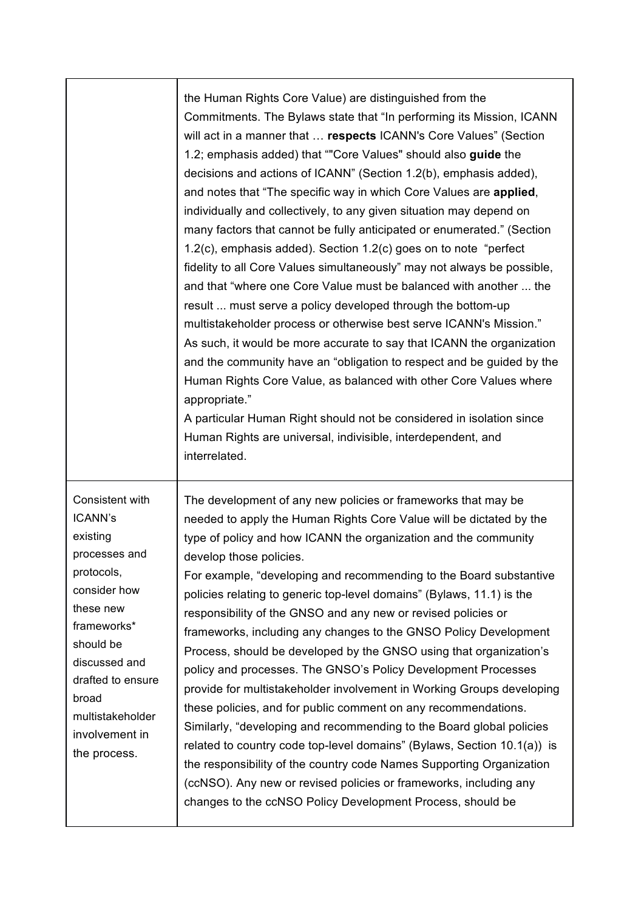the Human Rights Core Value) are distinguished from the Commitments. The Bylaws state that "In performing its Mission, ICANN will act in a manner that … **respects** ICANN's Core Values" (Section 1.2; emphasis added) that ""Core Values" should also **guide** the decisions and actions of ICANN" (Section 1.2(b), emphasis added), and notes that "The specific way in which Core Values are **applied**, individually and collectively, to any given situation may depend on many factors that cannot be fully anticipated or enumerated." (Section 1.2(c), emphasis added). Section 1.2(c) goes on to note "perfect fidelity to all Core Values simultaneously" may not always be possible, and that "where one Core Value must be balanced with another ... the result ... must serve a policy developed through the bottom-up multistakeholder process or otherwise best serve ICANN's Mission." As such, it would be more accurate to say that ICANN the organization and the community have an "obligation to respect and be guided by the Human Rights Core Value, as balanced with other Core Values where appropriate."

A particular Human Right should not be considered in isolation since Human Rights are universal, indivisible, interdependent, and interrelated.

Consistent with ICANN's existing processes and protocols, consider how these new frameworks\* should be discussed and drafted to ensure broad multistakeholder involvement in the process.

The development of any new policies or frameworks that may be needed to apply the Human Rights Core Value will be dictated by the type of policy and how ICANN the organization and the community develop those policies.

For example, "developing and recommending to the Board substantive policies relating to generic top-level domains" (Bylaws, 11.1) is the responsibility of the GNSO and any new or revised policies or frameworks, including any changes to the GNSO Policy Development Process, should be developed by the GNSO using that organization's policy and processes. The GNSO's Policy Development Processes provide for multistakeholder involvement in Working Groups developing these policies, and for public comment on any recommendations. Similarly, "developing and recommending to the Board global policies related to country code top-level domains" (Bylaws, Section 10.1(a)) is the responsibility of the country code Names Supporting Organization (ccNSO). Any new or revised policies or frameworks, including any changes to the ccNSO Policy Development Process, should be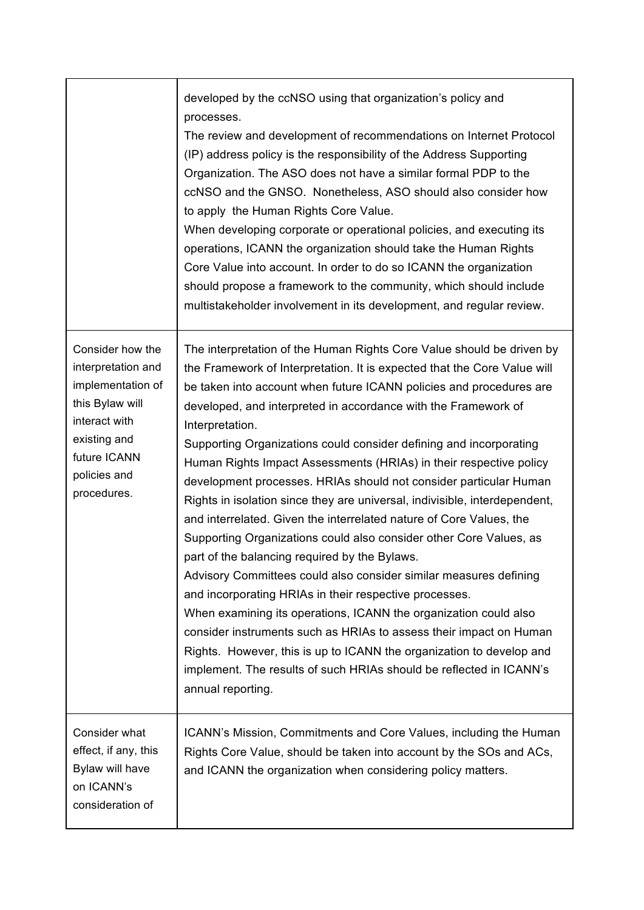|                                                                                                                                                                | developed by the ccNSO using that organization's policy and<br>processes.<br>The review and development of recommendations on Internet Protocol<br>(IP) address policy is the responsibility of the Address Supporting<br>Organization. The ASO does not have a similar formal PDP to the<br>ccNSO and the GNSO. Nonetheless, ASO should also consider how<br>to apply the Human Rights Core Value.<br>When developing corporate or operational policies, and executing its<br>operations, ICANN the organization should take the Human Rights<br>Core Value into account. In order to do so ICANN the organization<br>should propose a framework to the community, which should include<br>multistakeholder involvement in its development, and regular review.                                                                                                                                                                                                                                                                                                                                                                                                                                                                                        |
|----------------------------------------------------------------------------------------------------------------------------------------------------------------|---------------------------------------------------------------------------------------------------------------------------------------------------------------------------------------------------------------------------------------------------------------------------------------------------------------------------------------------------------------------------------------------------------------------------------------------------------------------------------------------------------------------------------------------------------------------------------------------------------------------------------------------------------------------------------------------------------------------------------------------------------------------------------------------------------------------------------------------------------------------------------------------------------------------------------------------------------------------------------------------------------------------------------------------------------------------------------------------------------------------------------------------------------------------------------------------------------------------------------------------------------|
| Consider how the<br>interpretation and<br>implementation of<br>this Bylaw will<br>interact with<br>existing and<br>future ICANN<br>policies and<br>procedures. | The interpretation of the Human Rights Core Value should be driven by<br>the Framework of Interpretation. It is expected that the Core Value will<br>be taken into account when future ICANN policies and procedures are<br>developed, and interpreted in accordance with the Framework of<br>Interpretation.<br>Supporting Organizations could consider defining and incorporating<br>Human Rights Impact Assessments (HRIAs) in their respective policy<br>development processes. HRIAs should not consider particular Human<br>Rights in isolation since they are universal, indivisible, interdependent,<br>and interrelated. Given the interrelated nature of Core Values, the<br>Supporting Organizations could also consider other Core Values, as<br>part of the balancing required by the Bylaws.<br>Advisory Committees could also consider similar measures defining<br>and incorporating HRIAs in their respective processes.<br>When examining its operations, ICANN the organization could also<br>consider instruments such as HRIAs to assess their impact on Human<br>Rights. However, this is up to ICANN the organization to develop and<br>implement. The results of such HRIAs should be reflected in ICANN's<br>annual reporting. |
| Consider what<br>effect, if any, this<br>Bylaw will have<br>on ICANN's<br>consideration of                                                                     | ICANN's Mission, Commitments and Core Values, including the Human<br>Rights Core Value, should be taken into account by the SOs and ACs,<br>and ICANN the organization when considering policy matters.                                                                                                                                                                                                                                                                                                                                                                                                                                                                                                                                                                                                                                                                                                                                                                                                                                                                                                                                                                                                                                                 |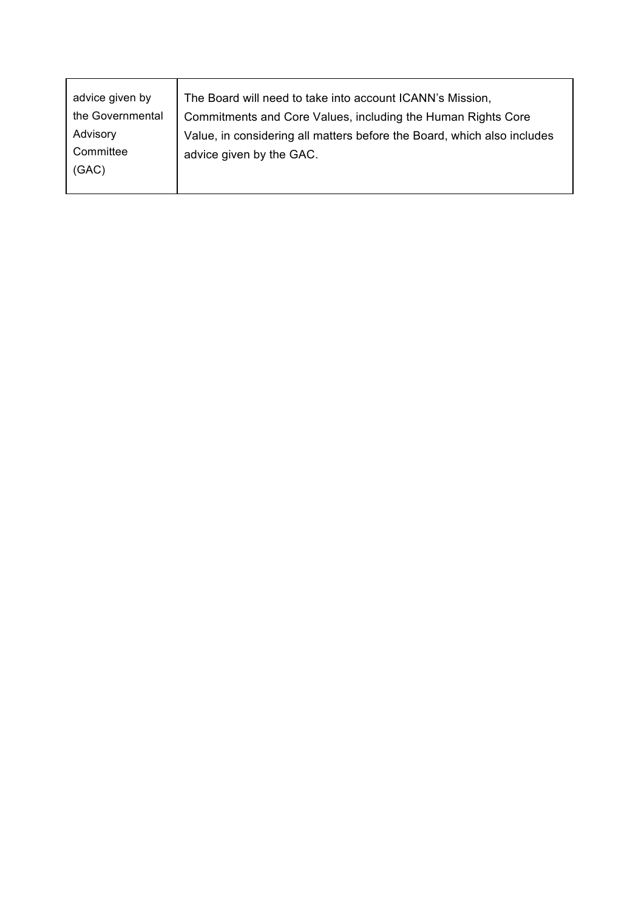| Advisory<br>Value, in considering all matters before the Board, which also includes<br>Committee<br>advice given by the GAC. | advice given by<br>the Governmental | The Board will need to take into account ICANN's Mission,<br>Commitments and Core Values, including the Human Rights Core |
|------------------------------------------------------------------------------------------------------------------------------|-------------------------------------|---------------------------------------------------------------------------------------------------------------------------|
|                                                                                                                              | (GAC)                               |                                                                                                                           |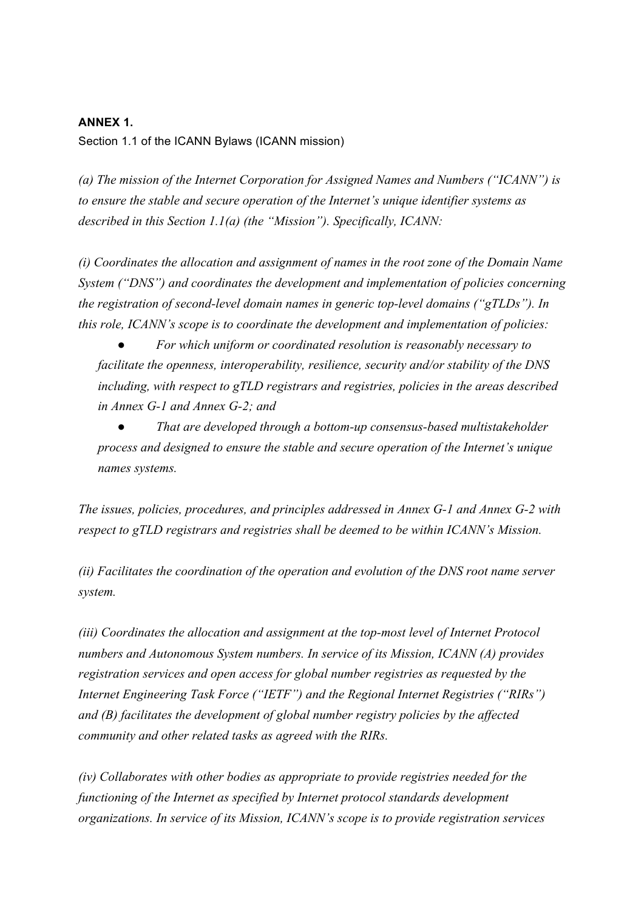## **ANNEX 1.**

Section 1.1 of the ICANN Bylaws (ICANN mission)

*(a) The mission of the Internet Corporation for Assigned Names and Numbers ("ICANN") is to ensure the stable and secure operation of the Internet's unique identifier systems as described in this Section 1.1(a) (the "Mission"). Specifically, ICANN:*

*(i) Coordinates the allocation and assignment of names in the root zone of the Domain Name System ("DNS") and coordinates the development and implementation of policies concerning the registration of second-level domain names in generic top-level domains ("gTLDs"). In this role, ICANN's scope is to coordinate the development and implementation of policies:*

For which uniform or coordinated resolution is reasonably necessary to *facilitate the openness, interoperability, resilience, security and/or stability of the DNS including, with respect to gTLD registrars and registries, policies in the areas described in Annex G-1 and Annex G-2; and*

● *That are developed through a bottom-up consensus-based multistakeholder process and designed to ensure the stable and secure operation of the Internet's unique names systems.*

*The issues, policies, procedures, and principles addressed in Annex G-1 and Annex G-2 with respect to gTLD registrars and registries shall be deemed to be within ICANN's Mission.*

*(ii) Facilitates the coordination of the operation and evolution of the DNS root name server system.*

*(iii) Coordinates the allocation and assignment at the top-most level of Internet Protocol numbers and Autonomous System numbers. In service of its Mission, ICANN (A) provides registration services and open access for global number registries as requested by the Internet Engineering Task Force ("IETF") and the Regional Internet Registries ("RIRs") and (B) facilitates the development of global number registry policies by the affected community and other related tasks as agreed with the RIRs.*

*(iv) Collaborates with other bodies as appropriate to provide registries needed for the functioning of the Internet as specified by Internet protocol standards development organizations. In service of its Mission, ICANN's scope is to provide registration services*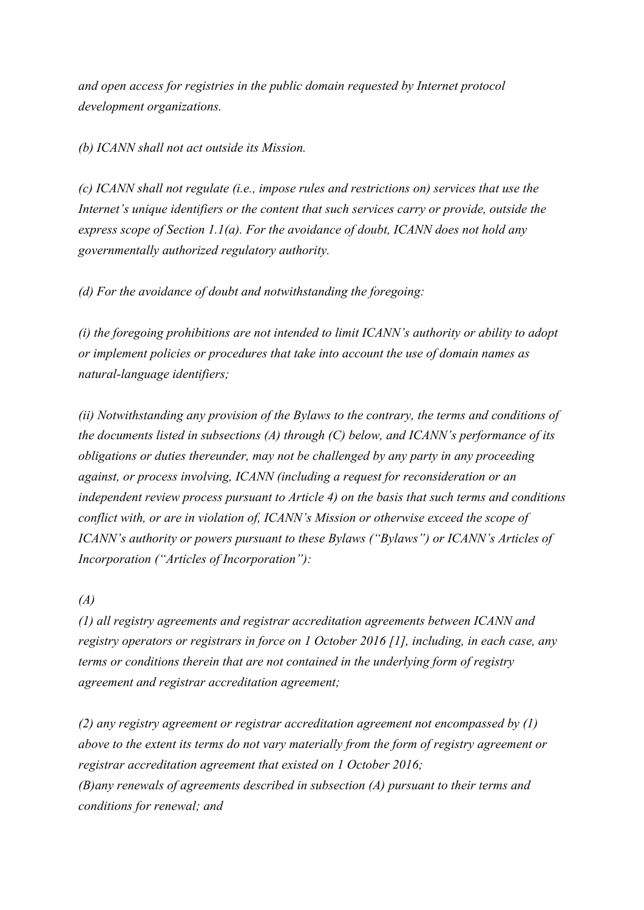*and open access for registries in the public domain requested by Internet protocol development organizations.*

*(b) ICANN shall not act outside its Mission.*

*(c) ICANN shall not regulate (i.e., impose rules and restrictions on) services that use the Internet's unique identifiers or the content that such services carry or provide, outside the express scope of Section 1.1(a). For the avoidance of doubt, ICANN does not hold any governmentally authorized regulatory authority.*

*(d) For the avoidance of doubt and notwithstanding the foregoing:*

*(i) the foregoing prohibitions are not intended to limit ICANN's authority or ability to adopt or implement policies or procedures that take into account the use of domain names as natural-language identifiers;*

*(ii) Notwithstanding any provision of the Bylaws to the contrary, the terms and conditions of the documents listed in subsections (A) through (C) below, and ICANN's performance of its obligations or duties thereunder, may not be challenged by any party in any proceeding against, or process involving, ICANN (including a request for reconsideration or an independent review process pursuant to Article 4) on the basis that such terms and conditions conflict with, or are in violation of, ICANN's Mission or otherwise exceed the scope of ICANN's authority or powers pursuant to these Bylaws ("Bylaws") or ICANN's Articles of Incorporation ("Articles of Incorporation"):*

*(A)*

*(1) all registry agreements and registrar accreditation agreements between ICANN and registry operators or registrars in force on 1 October 2016 [1], including, in each case, any terms or conditions therein that are not contained in the underlying form of registry agreement and registrar accreditation agreement;*

*(2) any registry agreement or registrar accreditation agreement not encompassed by (1) above to the extent its terms do not vary materially from the form of registry agreement or registrar accreditation agreement that existed on 1 October 2016; (B)any renewals of agreements described in subsection (A) pursuant to their terms and conditions for renewal; and*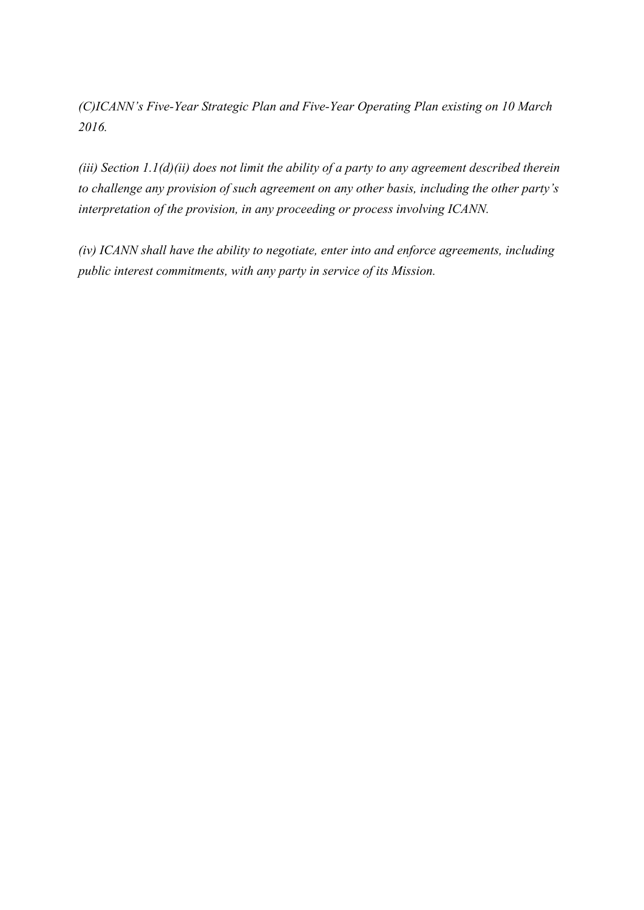*(C)ICANN's Five-Year Strategic Plan and Five-Year Operating Plan existing on 10 March 2016.*

*(iii) Section 1.1(d)(ii) does not limit the ability of a party to any agreement described therein to challenge any provision of such agreement on any other basis, including the other party's interpretation of the provision, in any proceeding or process involving ICANN.*

*(iv) ICANN shall have the ability to negotiate, enter into and enforce agreements, including public interest commitments, with any party in service of its Mission.*